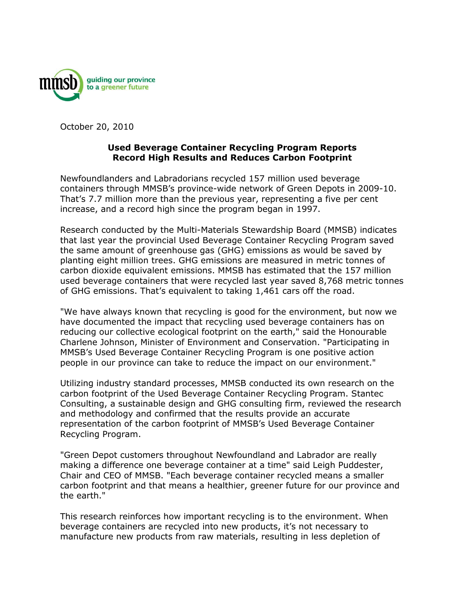

October 20, 2010

## **Used Beverage Container Recycling Program Reports Record High Results and Reduces Carbon Footprint**

Newfoundlanders and Labradorians recycled 157 million used beverage containers through MMSB's province-wide network of Green Depots in 2009-10. That's 7.7 million more than the previous year, representing a five per cent increase, and a record high since the program began in 1997.

Research conducted by the Multi-Materials Stewardship Board (MMSB) indicates that last year the provincial Used Beverage Container Recycling Program saved the same amount of greenhouse gas (GHG) emissions as would be saved by planting eight million trees. GHG emissions are measured in metric tonnes of carbon dioxide equivalent emissions. MMSB has estimated that the 157 million used beverage containers that were recycled last year saved 8,768 metric tonnes of GHG emissions. That's equivalent to taking 1,461 cars off the road.

"We have always known that recycling is good for the environment, but now we have documented the impact that recycling used beverage containers has on reducing our collective ecological footprint on the earth," said the Honourable Charlene Johnson, Minister of Environment and Conservation. "Participating in MMSB's Used Beverage Container Recycling Program is one positive action people in our province can take to reduce the impact on our environment."

Utilizing industry standard processes, MMSB conducted its own research on the carbon footprint of the Used Beverage Container Recycling Program. Stantec Consulting, a sustainable design and GHG consulting firm, reviewed the research and methodology and confirmed that the results provide an accurate representation of the carbon footprint of MMSB's Used Beverage Container Recycling Program.

"Green Depot customers throughout Newfoundland and Labrador are really making a difference one beverage container at a time" said Leigh Puddester, Chair and CEO of MMSB. "Each beverage container recycled means a smaller carbon footprint and that means a healthier, greener future for our province and the earth."

This research reinforces how important recycling is to the environment. When beverage containers are recycled into new products, it's not necessary to manufacture new products from raw materials, resulting in less depletion of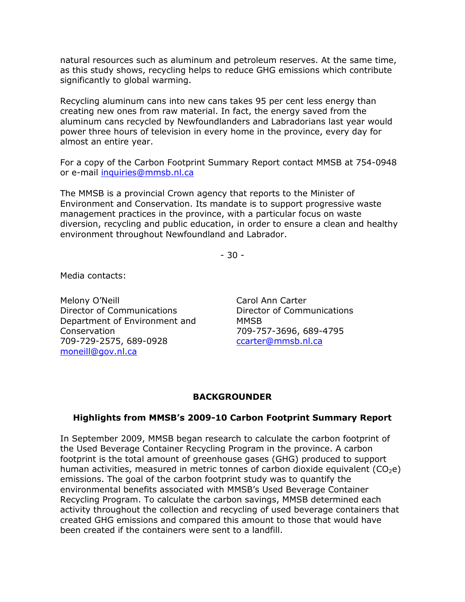natural resources such as aluminum and petroleum reserves. At the same time, as this study shows, recycling helps to reduce GHG emissions which contribute significantly to global warming.

Recycling aluminum cans into new cans takes 95 per cent less energy than creating new ones from raw material. In fact, the energy saved from the aluminum cans recycled by Newfoundlanders and Labradorians last year would power three hours of television in every home in the province, every day for almost an entire year.

For a copy of the Carbon Footprint Summary Report contact MMSB at 754-0948 or e-mail [inquiries@mmsb.nl.ca](mailto:iniquiries@mmsb.nl.ca)

The MMSB is a provincial Crown agency that reports to the Minister of Environment and Conservation. Its mandate is to support progressive waste management practices in the province, with a particular focus on waste diversion, recycling and public education, in order to ensure a clean and healthy environment throughout Newfoundland and Labrador.

- 30 -

Media contacts:

Melony O'Neill Director of Communications Department of Environment and Conservation 709-729-2575, 689-0928 [moneill@gov.nl.ca](mailto:moneill@gov.nl.ca)

Carol Ann Carter Director of Communications MMSB 709-757-3696, 689-4795 [ccarter@mmsb.nl.ca](mailto:ccarter@mmsb.nl.ca)

## **BACKGROUNDER**

## **Highlights from MMSB's 2009-10 Carbon Footprint Summary Report**

In September 2009, MMSB began research to calculate the carbon footprint of the Used Beverage Container Recycling Program in the province. A carbon footprint is the total amount of greenhouse gases (GHG) produced to support human activities, measured in metric tonnes of carbon dioxide equivalent  $(CO<sub>2</sub>e)$ emissions. The goal of the carbon footprint study was to quantify the environmental benefits associated with MMSB's Used Beverage Container Recycling Program. To calculate the carbon savings, MMSB determined each activity throughout the collection and recycling of used beverage containers that created GHG emissions and compared this amount to those that would have been created if the containers were sent to a landfill.